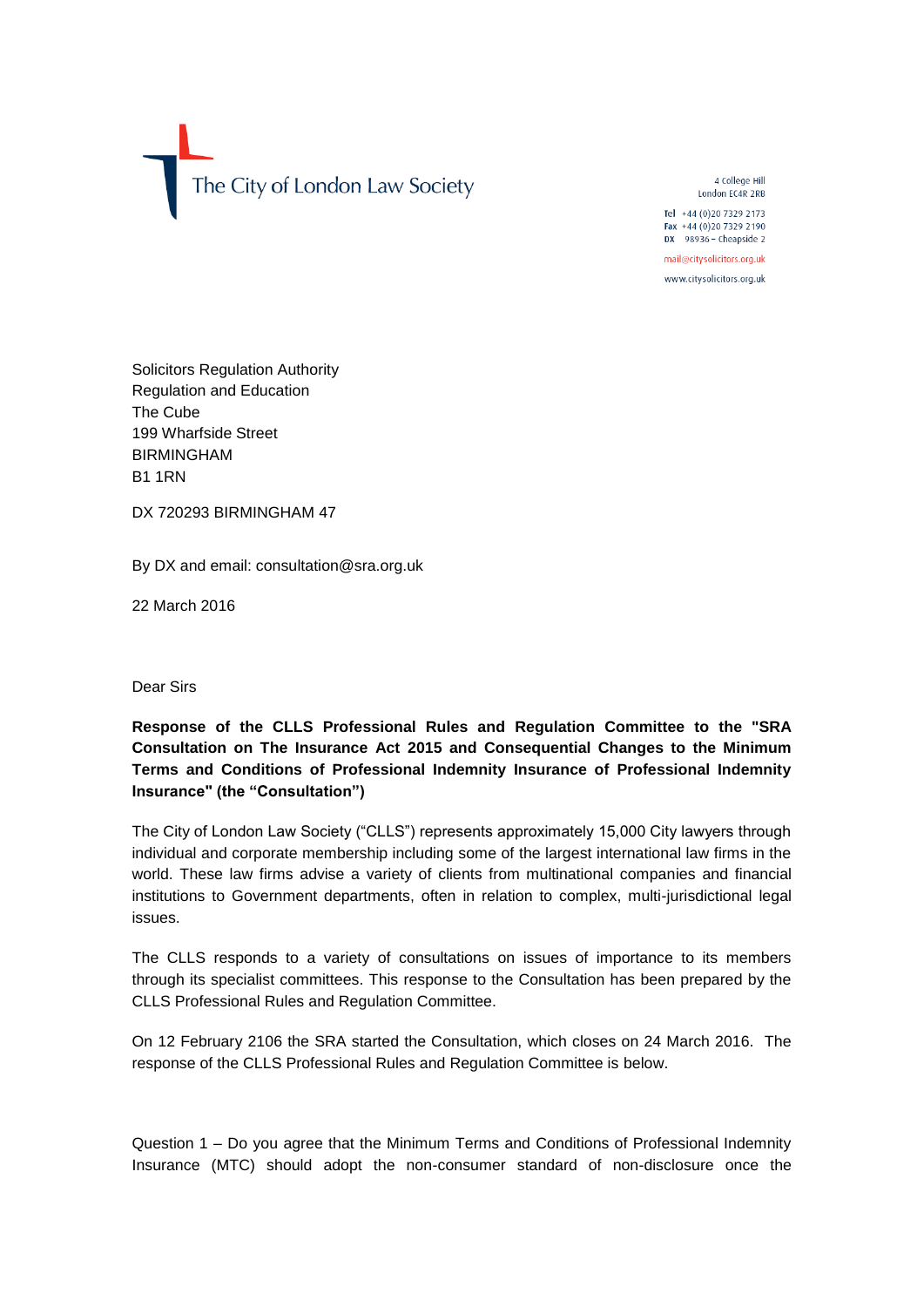

4 College Hill London EC4R 2RB

Tel +44 (0)20 7329 2173 Fax +44 (0)20 7329 2190 DX 98936 - Cheapside 2

mail@citysolicitors.org.uk

www.citysolicitors.org.uk

Solicitors Regulation Authority Regulation and Education The Cube 199 Wharfside Street BIRMINGHAM B1 1RN

DX 720293 BIRMINGHAM 47

By DX and email: consultation@sra.org.uk

22 March 2016

Dear Sirs

## **Response of the CLLS Professional Rules and Regulation Committee to the "SRA Consultation on The Insurance Act 2015 and Consequential Changes to the Minimum Terms and Conditions of Professional Indemnity Insurance of Professional Indemnity Insurance" (the "Consultation")**

The City of London Law Society ("CLLS") represents approximately 15,000 City lawyers through individual and corporate membership including some of the largest international law firms in the world. These law firms advise a variety of clients from multinational companies and financial institutions to Government departments, often in relation to complex, multi-jurisdictional legal issues.

The CLLS responds to a variety of consultations on issues of importance to its members through its specialist committees. This response to the Consultation has been prepared by the CLLS Professional Rules and Regulation Committee.

On 12 February 2106 the SRA started the Consultation, which closes on 24 March 2016. The response of the CLLS Professional Rules and Regulation Committee is below.

Question 1 – Do you agree that the Minimum Terms and Conditions of Professional Indemnity Insurance (MTC) should adopt the non-consumer standard of non-disclosure once the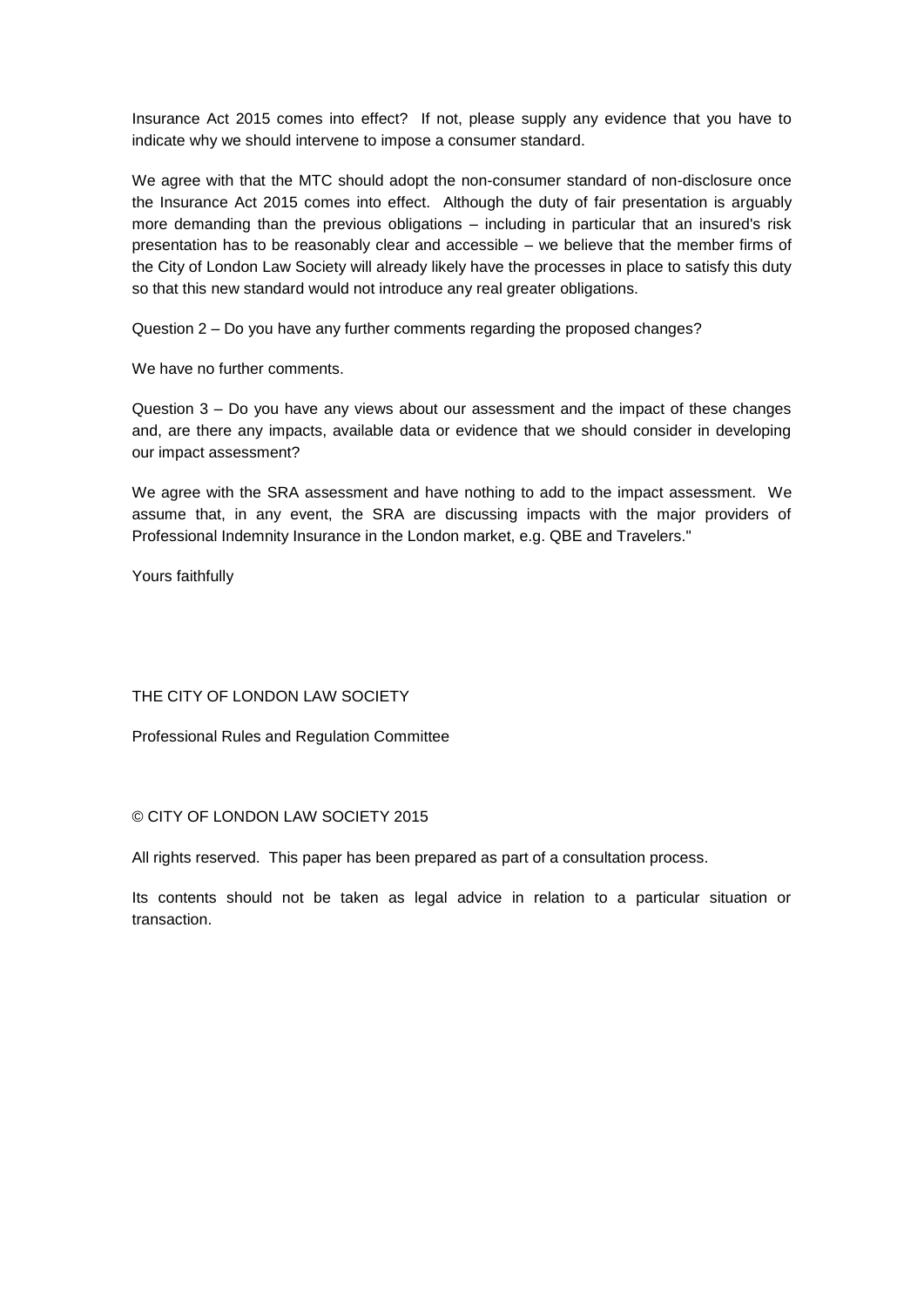Insurance Act 2015 comes into effect? If not, please supply any evidence that you have to indicate why we should intervene to impose a consumer standard.

We agree with that the MTC should adopt the non-consumer standard of non-disclosure once the Insurance Act 2015 comes into effect. Although the duty of fair presentation is arguably more demanding than the previous obligations – including in particular that an insured's risk presentation has to be reasonably clear and accessible – we believe that the member firms of the City of London Law Society will already likely have the processes in place to satisfy this duty so that this new standard would not introduce any real greater obligations.

Question 2 – Do you have any further comments regarding the proposed changes?

We have no further comments.

Question 3 – Do you have any views about our assessment and the impact of these changes and, are there any impacts, available data or evidence that we should consider in developing our impact assessment?

We agree with the SRA assessment and have nothing to add to the impact assessment. We assume that, in any event, the SRA are discussing impacts with the major providers of Professional Indemnity Insurance in the London market, e.g. QBE and Travelers."

Yours faithfully

THE CITY OF LONDON LAW SOCIETY

Professional Rules and Regulation Committee

## © CITY OF LONDON LAW SOCIETY 2015

All rights reserved. This paper has been prepared as part of a consultation process.

Its contents should not be taken as legal advice in relation to a particular situation or transaction.